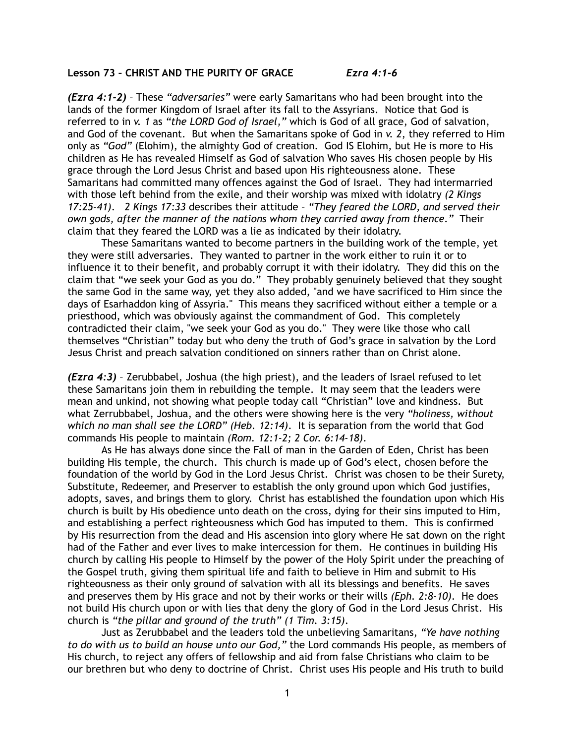## **Lesson 73 – CHRIST AND THE PURITY OF GRACE** *Ezra 4:1-6*

*(Ezra 4:1-2)* – These *"adversaries"* were early Samaritans who had been brought into the lands of the former Kingdom of Israel after its fall to the Assyrians. Notice that God is referred to in *v. 1* as *"the LORD God of Israel,"* which is God of all grace, God of salvation, and God of the covenant. But when the Samaritans spoke of God in *v. 2*, they referred to Him only as *"God"* (Elohim), the almighty God of creation. God IS Elohim, but He is more to His children as He has revealed Himself as God of salvation Who saves His chosen people by His grace through the Lord Jesus Christ and based upon His righteousness alone. These Samaritans had committed many offences against the God of Israel. They had intermarried with those left behind from the exile, and their worship was mixed with idolatry *(2 Kings 17:25-41)*. *2 Kings 17:33* describes their attitude – *"They feared the LORD, and served their own gods, after the manner of the nations whom they carried away from thence."* Their claim that they feared the LORD was a lie as indicated by their idolatry.

 These Samaritans wanted to become partners in the building work of the temple, yet they were still adversaries. They wanted to partner in the work either to ruin it or to influence it to their benefit, and probably corrupt it with their idolatry. They did this on the claim that "we seek your God as you do." They probably genuinely believed that they sought the same God in the same way, yet they also added, "and we have sacrificed to Him since the days of Esarhaddon king of Assyria." This means they sacrificed without either a temple or a priesthood, which was obviously against the commandment of God. This completely contradicted their claim, "we seek your God as you do." They were like those who call themselves "Christian" today but who deny the truth of God's grace in salvation by the Lord Jesus Christ and preach salvation conditioned on sinners rather than on Christ alone.

*(Ezra 4:3)* – Zerubbabel, Joshua (the high priest), and the leaders of Israel refused to let these Samaritans join them in rebuilding the temple. It may seem that the leaders were mean and unkind, not showing what people today call "Christian" love and kindness. But what Zerrubbabel, Joshua, and the others were showing here is the very *"holiness, without which no man shall see the LORD" (Heb. 12:14)*. It is separation from the world that God commands His people to maintain *(Rom. 12:1-2; 2 Cor. 6:14-18)*.

 As He has always done since the Fall of man in the Garden of Eden, Christ has been building His temple, the church. This church is made up of God's elect, chosen before the foundation of the world by God in the Lord Jesus Christ. Christ was chosen to be their Surety, Substitute, Redeemer, and Preserver to establish the only ground upon which God justifies, adopts, saves, and brings them to glory. Christ has established the foundation upon which His church is built by His obedience unto death on the cross, dying for their sins imputed to Him, and establishing a perfect righteousness which God has imputed to them. This is confirmed by His resurrection from the dead and His ascension into glory where He sat down on the right had of the Father and ever lives to make intercession for them. He continues in building His church by calling His people to Himself by the power of the Holy Spirit under the preaching of the Gospel truth, giving them spiritual life and faith to believe in Him and submit to His righteousness as their only ground of salvation with all its blessings and benefits. He saves and preserves them by His grace and not by their works or their wills *(Eph. 2:8-10)*. He does not build His church upon or with lies that deny the glory of God in the Lord Jesus Christ. His church is *"the pillar and ground of the truth" (1 Tim. 3:15)*.

 Just as Zerubbabel and the leaders told the unbelieving Samaritans, *"Ye have nothing to do with us to build an house unto our God,"* the Lord commands His people, as members of His church, to reject any offers of fellowship and aid from false Christians who claim to be our brethren but who deny to doctrine of Christ. Christ uses His people and His truth to build